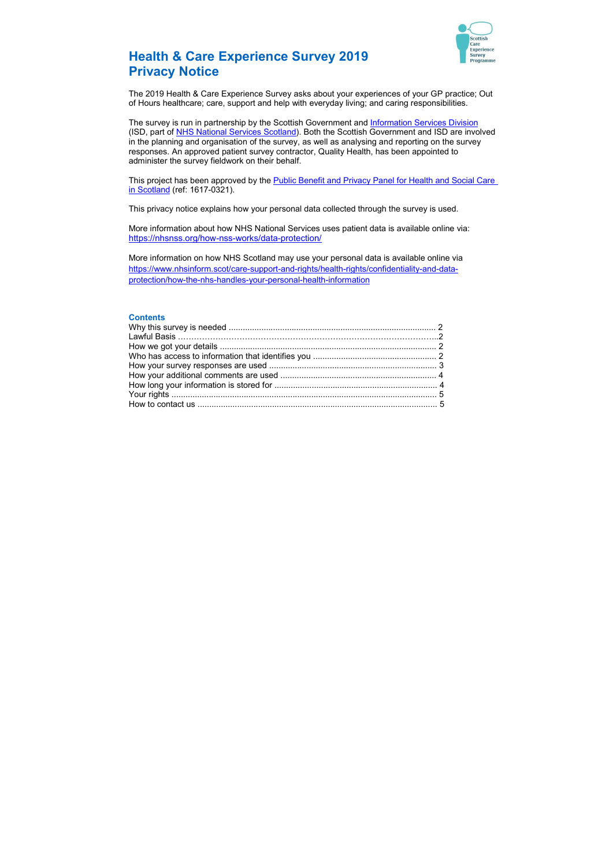

# Health & Care Experience Survey 2019 Privacy Notice

The 2019 Health & Care Experience Survey asks about your experiences of your GP practice; Out of Hours healthcare; care, support and help with everyday living; and caring responsibilities.

The survey is run in partnership by the Scottish Government and Information Services Division (ISD, part of NHS National Services Scotland). Both the Scottish Government and ISD are involved in the planning and organisation of the survey, as well as analysing and reporting on the survey responses. An approved patient survey contractor, Quality Health, has been appointed to administer the survey fieldwork on their behalf.

This project has been approved by the **Public Benefit and Privacy Panel for Health and Social Care** in Scotland (ref: 1617-0321).

This privacy notice explains how your personal data collected through the survey is used.

More information about how NHS National Services uses patient data is available online via: https://nhsnss.org/how-nss-works/data-protection/

More information on how NHS Scotland may use your personal data is available online via https://www.nhsinform.scot/care-support-and-rights/health-rights/confidentiality-and-dataprotection/how-the-nhs-handles-your-personal-health-information

#### **Contents**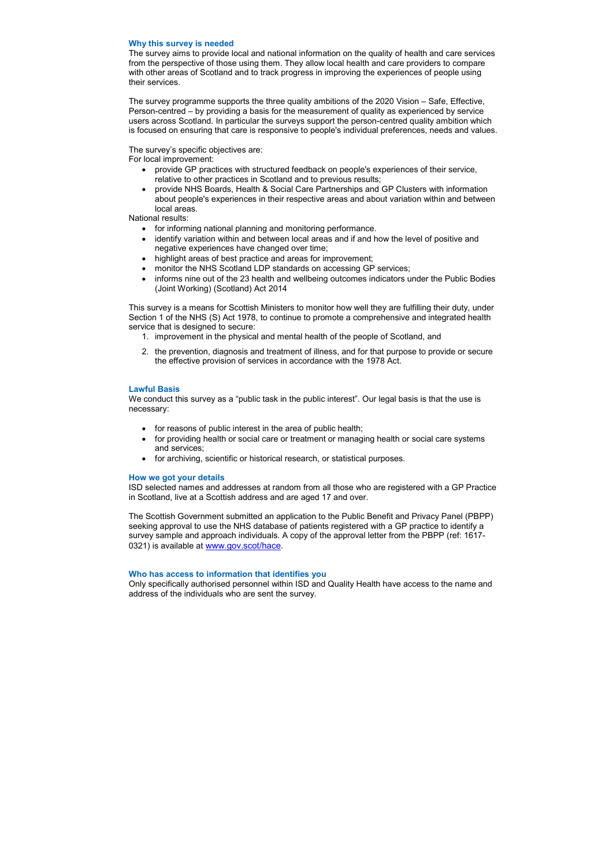### Why this survey is needed

The survey aims to provide local and national information on the quality of health and care services from the perspective of those using them. They allow local health and care providers to compare with other areas of Scotland and to track progress in improving the experiences of people using their services.

The survey programme supports the three quality ambitions of the 2020 Vision – Safe, Effective, Person-centred – by providing a basis for the measurement of quality as experienced by service users across Scotland. In particular the surveys support the person-centred quality ambition which is focused on ensuring that care is responsive to people's individual preferences, needs and values.

## The survey's specific objectives are:

For local improvement:

- for informing national planning and monitoring performance.
- identify variation within and between local areas and if and how the level of positive and negative experiences have changed over time;
- highlight areas of best practice and areas for improvement;
- monitor the NHS Scotland LDP standards on accessing GP services;
- informs nine out of the 23 health and wellbeing outcomes indicators under the Public Bodies (Joint Working) (Scotland) Act 2014
- provide GP practices with structured feedback on people's experiences of their service, relative to other practices in Scotland and to previous results;
- provide NHS Boards, Health & Social Care Partnerships and GP Clusters with information about people's experiences in their respective areas and about variation within and between local areas.

National results:

The Scottish Government submitted an application to the Public Benefit and Privacy Panel (PBPP) seeking approval to use the NHS database of patients registered with a GP practice to identify a survey sample and approach individuals. A copy of the approval letter from the PBPP (ref: 1617- 0321) is available at www.gov.scot/hace.

This survey is a means for Scottish Ministers to monitor how well they are fulfilling their duty, under Section 1 of the NHS (S) Act 1978, to continue to promote a comprehensive and integrated health service that is designed to secure:

- 1. improvement in the physical and mental health of the people of Scotland, and
- 2. the prevention, diagnosis and treatment of illness, and for that purpose to provide or secure the effective provision of services in accordance with the 1978 Act.

## Lawful Basis

We conduct this survey as a "public task in the public interest". Our legal basis is that the use is necessary:

- for reasons of public interest in the area of public health;
- for providing health or social care or treatment or managing health or social care systems and services;
- for archiving, scientific or historical research, or statistical purposes.

#### How we got your details

ISD selected names and addresses at random from all those who are registered with a GP Practice in Scotland, live at a Scottish address and are aged 17 and over.

#### Who has access to information that identifies you

Only specifically authorised personnel within ISD and Quality Health have access to the name and address of the individuals who are sent the survey.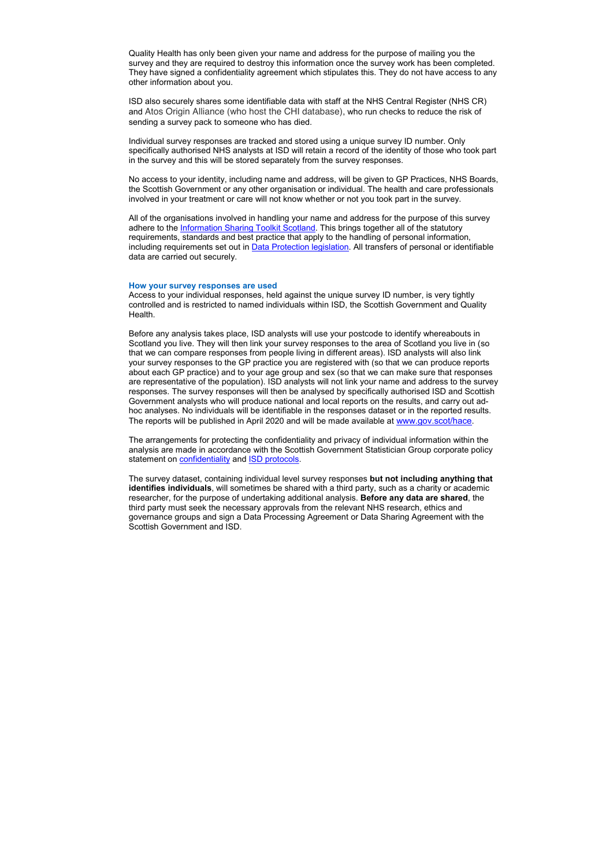Quality Health has only been given your name and address for the purpose of mailing you the survey and they are required to destroy this information once the survey work has been completed. They have signed a confidentiality agreement which stipulates this. They do not have access to any other information about you.

ISD also securely shares some identifiable data with staff at the NHS Central Register (NHS CR) and Atos Origin Alliance (who host the CHI database), who run checks to reduce the risk of sending a survey pack to someone who has died.

Individual survey responses are tracked and stored using a unique survey ID number. Only specifically authorised NHS analysts at ISD will retain a record of the identity of those who took part in the survey and this will be stored separately from the survey responses.

No access to your identity, including name and address, will be given to GP Practices, NHS Boards, the Scottish Government or any other organisation or individual. The health and care professionals involved in your treatment or care will not know whether or not you took part in the survey.

All of the organisations involved in handling your name and address for the purpose of this survey adhere to the Information Sharing Toolkit Scotland. This brings together all of the statutory requirements, standards and best practice that apply to the handling of personal information, including requirements set out in Data Protection legislation. All transfers of personal or identifiable data are carried out securely.

The arrangements for protecting the confidentiality and privacy of individual information within the analysis are made in accordance with the Scottish Government Statistician Group corporate policy statement on **confidentiality** and **ISD** protocols.

#### How your survey responses are used

Access to your individual responses, held against the unique survey ID number, is very tightly controlled and is restricted to named individuals within ISD, the Scottish Government and Quality Health.

The survey dataset, containing individual level survey responses but not including anything that identifies individuals, will sometimes be shared with a third party, such as a charity or academic researcher, for the purpose of undertaking additional analysis. **Before any data are shared**, the third party must seek the necessary approvals from the relevant NHS research, ethics and governance groups and sign a Data Processing Agreement or Data Sharing Agreement with the Scottish Government and ISD.

Before any analysis takes place, ISD analysts will use your postcode to identify whereabouts in Scotland you live. They will then link your survey responses to the area of Scotland you live in (so that we can compare responses from people living in different areas). ISD analysts will also link your survey responses to the GP practice you are registered with (so that we can produce reports about each GP practice) and to your age group and sex (so that we can make sure that responses are representative of the population). ISD analysts will not link your name and address to the survey responses. The survey responses will then be analysed by specifically authorised ISD and Scottish Government analysts who will produce national and local reports on the results, and carry out adhoc analyses. No individuals will be identifiable in the responses dataset or in the reported results. The reports will be published in April 2020 and will be made available at www.gov.scot/hace.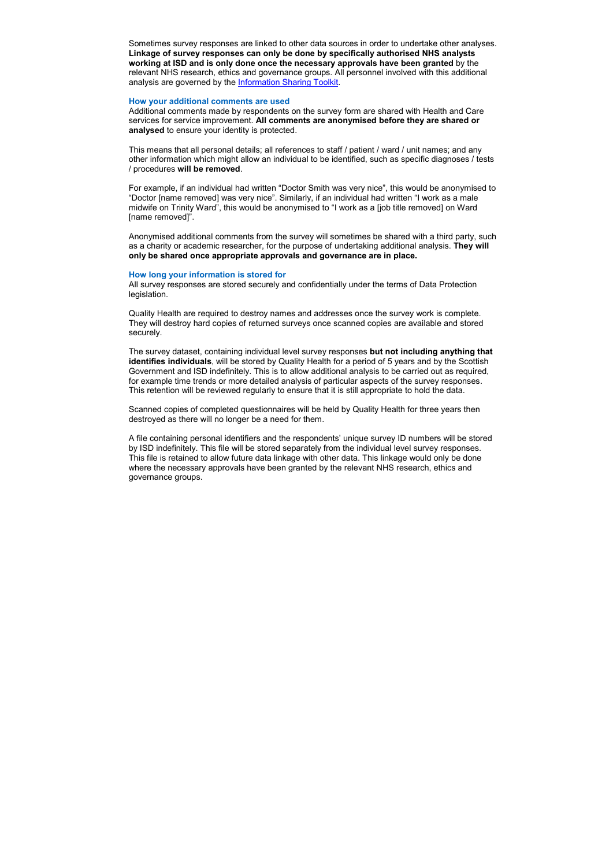Sometimes survey responses are linked to other data sources in order to undertake other analyses. Linkage of survey responses can only be done by specifically authorised NHS analysts working at ISD and is only done once the necessary approvals have been granted by the relevant NHS research, ethics and governance groups. All personnel involved with this additional analysis are governed by the Information Sharing Toolkit.

#### How your additional comments are used

Additional comments made by respondents on the survey form are shared with Health and Care services for service improvement. All comments are anonymised before they are shared or analysed to ensure your identity is protected.

This means that all personal details; all references to staff / patient / ward / unit names; and any other information which might allow an individual to be identified, such as specific diagnoses / tests / procedures will be removed.

For example, if an individual had written "Doctor Smith was very nice", this would be anonymised to "Doctor [name removed] was very nice". Similarly, if an individual had written "I work as a male midwife on Trinity Ward", this would be anonymised to "I work as a [job title removed] on Ward [name removed]".

The survey dataset, containing individual level survey responses but not including anything that identifies individuals, will be stored by Quality Health for a period of 5 years and by the Scottish Government and ISD indefinitely. This is to allow additional analysis to be carried out as required, for example time trends or more detailed analysis of particular aspects of the survey responses. This retention will be reviewed regularly to ensure that it is still appropriate to hold the data.

Anonymised additional comments from the survey will sometimes be shared with a third party, such as a charity or academic researcher, for the purpose of undertaking additional analysis. They will only be shared once appropriate approvals and governance are in place.

#### How long your information is stored for

All survey responses are stored securely and confidentially under the terms of Data Protection legislation.

Quality Health are required to destroy names and addresses once the survey work is complete. They will destroy hard copies of returned surveys once scanned copies are available and stored securely.

Scanned copies of completed questionnaires will be held by Quality Health for three years then destroyed as there will no longer be a need for them.

A file containing personal identifiers and the respondents' unique survey ID numbers will be stored by ISD indefinitely. This file will be stored separately from the individual level survey responses. This file is retained to allow future data linkage with other data. This linkage would only be done where the necessary approvals have been granted by the relevant NHS research, ethics and governance groups.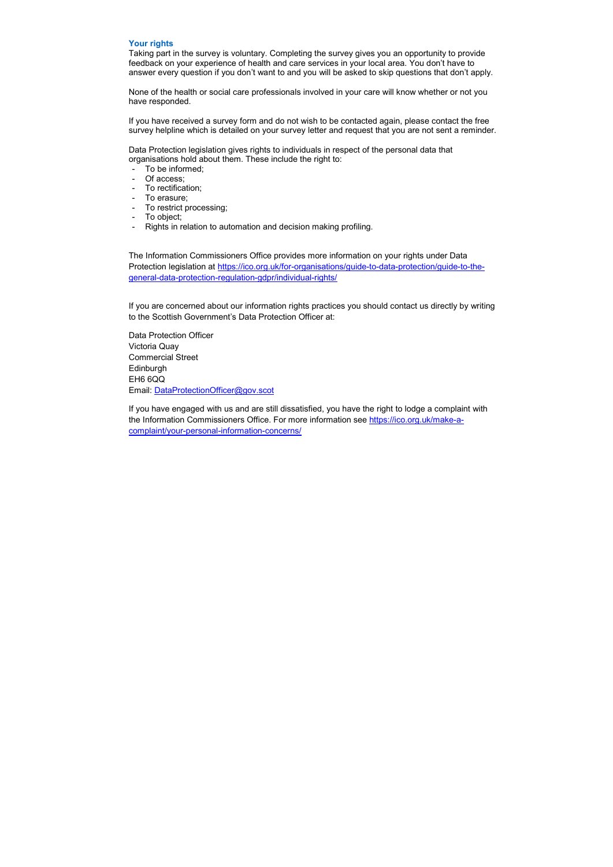#### Your rights

Taking part in the survey is voluntary. Completing the survey gives you an opportunity to provide feedback on your experience of health and care services in your local area. You don't have to answer every question if you don't want to and you will be asked to skip questions that don't apply.

None of the health or social care professionals involved in your care will know whether or not you have responded.

If you have received a survey form and do not wish to be contacted again, please contact the free survey helpline which is detailed on your survey letter and request that you are not sent a reminder.

Data Protection legislation gives rights to individuals in respect of the personal data that organisations hold about them. These include the right to:

- To be informed;
- Of access;
- To rectification;
- To erasure;
- To restrict processing;
- To object;
- Rights in relation to automation and decision making profiling.

The Information Commissioners Office provides more information on your rights under Data Protection legislation at https://ico.org.uk/for-organisations/guide-to-data-protection/guide-to-thegeneral-data-protection-regulation-gdpr/individual-rights/

If you are concerned about our information rights practices you should contact us directly by writing to the Scottish Government's Data Protection Officer at:

Data Protection Officer Victoria Quay Commercial Street Edinburgh EH6 6QQ Email: DataProtectionOfficer@gov.scot

If you have engaged with us and are still dissatisfied, you have the right to lodge a complaint with the Information Commissioners Office. For more information see https://ico.org.uk/make-acomplaint/your-personal-information-concerns/